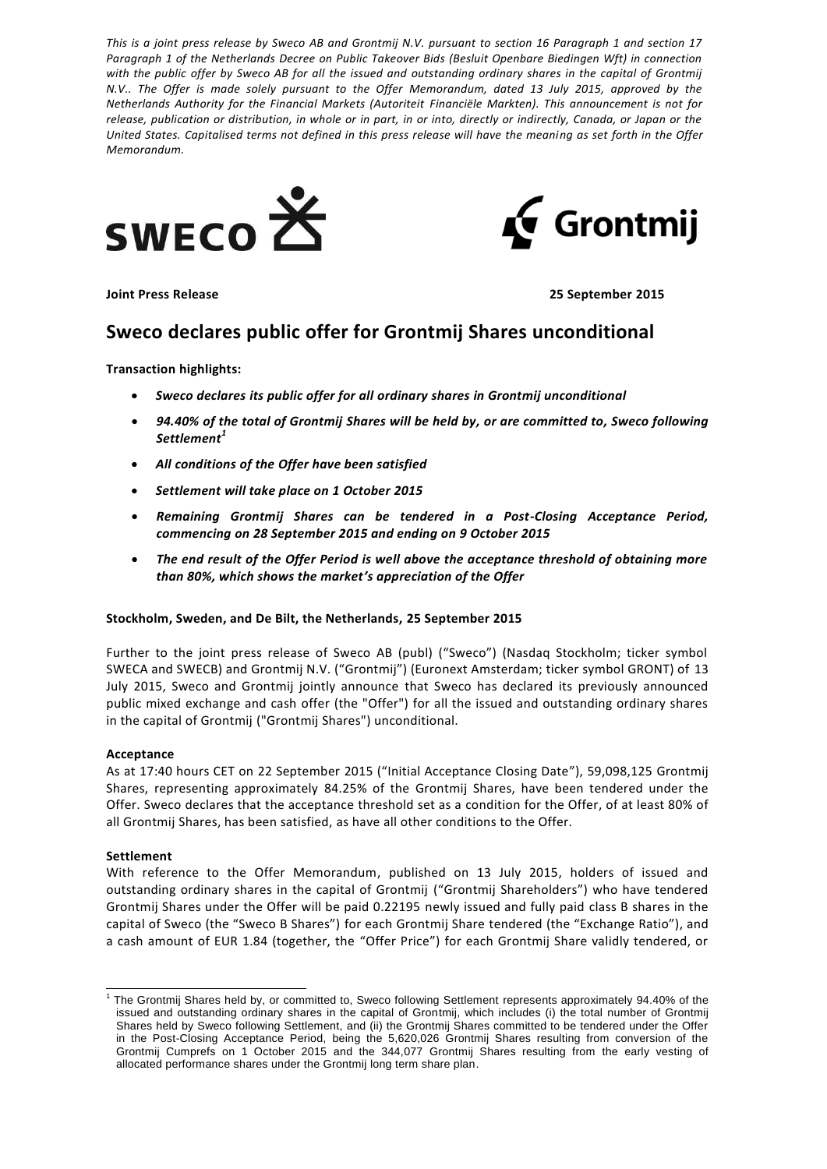*This is a joint press release by Sweco AB and Grontmij N.V. pursuant to section 16 Paragraph 1 and section 17 Paragraph 1 of the Netherlands Decree on Public Takeover Bids (Besluit Openbare Biedingen Wft) in connection*  with the public offer by Sweco AB for all the issued and outstanding ordinary shares in the capital of Grontmij *N.V.. The Offer is made solely pursuant to the Offer Memorandum, dated 13 July 2015, approved by the Netherlands Authority for the Financial Markets (Autoriteit Financiële Markten). This announcement is not for release, publication or distribution, in whole or in part, in or into, directly or indirectly, Canada, or Japan or the United States. Capitalised terms not defined in this press release will have the meaning as set forth in the Offer Memorandum.*





**Joint Press Release 25 September 2015**

# **Sweco declares public offer for Grontmij Shares unconditional**

**Transaction highlights:**

- *Sweco declares its public offer for all ordinary shares in Grontmij unconditional*
- *94.40% of the total of Grontmij Shares will be held by, or are committed to, Sweco following Settlement<sup>1</sup>*
- *All conditions of the Offer have been satisfied*
- *Settlement will take place on 1 October 2015*
- *Remaining Grontmij Shares can be tendered in a Post-Closing Acceptance Period, commencing on 28 September 2015 and ending on 9 October 2015*
- *The end result of the Offer Period is well above the acceptance threshold of obtaining more than 80%, which shows the market's appreciation of the Offer*

# **Stockholm, Sweden, and De Bilt, the Netherlands, 25 September 2015**

Further to the joint press release of Sweco AB (publ) ("Sweco") (Nasdaq Stockholm; ticker symbol SWECA and SWECB) and Grontmij N.V. ("Grontmij") (Euronext Amsterdam; ticker symbol GRONT) of 13 July 2015, Sweco and Grontmij jointly announce that Sweco has declared its previously announced public mixed exchange and cash offer (the "Offer") for all the issued and outstanding ordinary shares in the capital of Grontmij ("Grontmij Shares") unconditional.

# **Acceptance**

As at 17:40 hours CET on 22 September 2015 ("Initial Acceptance Closing Date"), 59,098,125 Grontmij Shares, representing approximately 84.25% of the Grontmij Shares, have been tendered under the Offer. Sweco declares that the acceptance threshold set as a condition for the Offer, of at least 80% of all Grontmij Shares, has been satisfied, as have all other conditions to the Offer.

# **Settlement**

l

With reference to the Offer Memorandum, published on 13 July 2015, holders of issued and outstanding ordinary shares in the capital of Grontmij ("Grontmij Shareholders") who have tendered Grontmij Shares under the Offer will be paid 0.22195 newly issued and fully paid class B shares in the capital of Sweco (the "Sweco B Shares") for each Grontmij Share tendered (the "Exchange Ratio"), and a cash amount of EUR 1.84 (together, the "Offer Price") for each Grontmij Share validly tendered, or

<sup>1</sup> The Grontmij Shares held by, or committed to, Sweco following Settlement represents approximately 94.40% of the issued and outstanding ordinary shares in the capital of Grontmij, which includes (i) the total number of Grontmij Shares held by Sweco following Settlement, and (ii) the Grontmij Shares committed to be tendered under the Offer in the Post-Closing Acceptance Period, being the 5,620,026 Grontmij Shares resulting from conversion of the Grontmij Cumprefs on 1 October 2015 and the 344,077 Grontmij Shares resulting from the early vesting of allocated performance shares under the Grontmij long term share plan.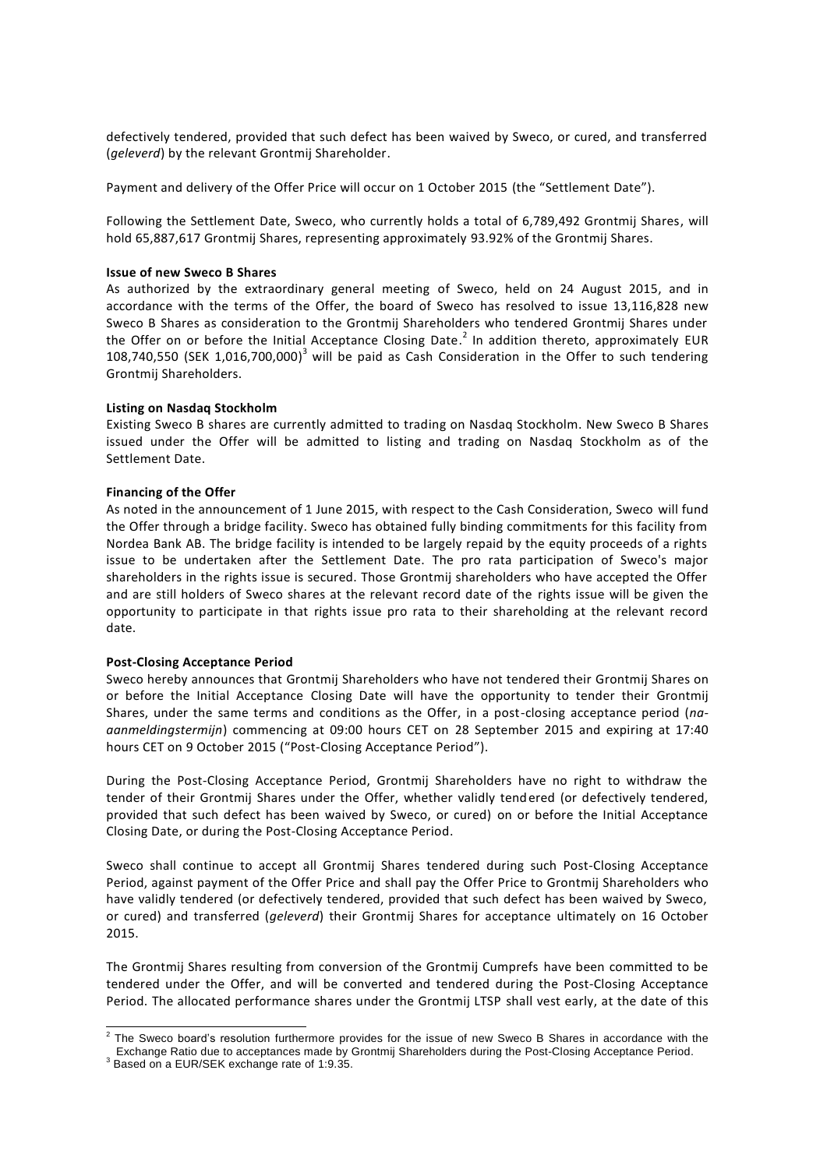defectively tendered, provided that such defect has been waived by Sweco, or cured, and transferred (*geleverd*) by the relevant Grontmij Shareholder.

Payment and delivery of the Offer Price will occur on 1 October 2015 (the "Settlement Date").

Following the Settlement Date, Sweco, who currently holds a total of 6,789,492 Grontmij Shares, will hold 65,887,617 Grontmij Shares, representing approximately 93.92% of the Grontmij Shares.

## **Issue of new Sweco B Shares**

As authorized by the extraordinary general meeting of Sweco, held on 24 August 2015, and in accordance with the terms of the Offer, the board of Sweco has resolved to issue 13,116,828 new Sweco B Shares as consideration to the Grontmij Shareholders who tendered Grontmij Shares under the Offer on or before the Initial Acceptance Closing Date.<sup>2</sup> In addition thereto, approximately EUR 108,740,550 (SEK 1,016,700,000)<sup>3</sup> will be paid as Cash Consideration in the Offer to such tendering Grontmij Shareholders.

# **Listing on Nasdaq Stockholm**

Existing Sweco B shares are currently admitted to trading on Nasdaq Stockholm. New Sweco B Shares issued under the Offer will be admitted to listing and trading on Nasdaq Stockholm as of the Settlement Date.

# **Financing of the Offer**

As noted in the announcement of 1 June 2015, with respect to the Cash Consideration, Sweco will fund the Offer through a bridge facility. Sweco has obtained fully binding commitments for this facility from Nordea Bank AB. The bridge facility is intended to be largely repaid by the equity proceeds of a rights issue to be undertaken after the Settlement Date. The pro rata participation of Sweco's major shareholders in the rights issue is secured. Those Grontmij shareholders who have accepted the Offer and are still holders of Sweco shares at the relevant record date of the rights issue will be given the opportunity to participate in that rights issue pro rata to their shareholding at the relevant record date.

# **Post-Closing Acceptance Period**

Sweco hereby announces that Grontmij Shareholders who have not tendered their Grontmij Shares on or before the Initial Acceptance Closing Date will have the opportunity to tender their Grontmij Shares, under the same terms and conditions as the Offer, in a post-closing acceptance period (*naaanmeldingstermijn*) commencing at 09:00 hours CET on 28 September 2015 and expiring at 17:40 hours CET on 9 October 2015 ("Post-Closing Acceptance Period").

During the Post-Closing Acceptance Period, Grontmij Shareholders have no right to withdraw the tender of their Grontmij Shares under the Offer, whether validly tendered (or defectively tendered, provided that such defect has been waived by Sweco, or cured) on or before the Initial Acceptance Closing Date, or during the Post-Closing Acceptance Period.

Sweco shall continue to accept all Grontmij Shares tendered during such Post-Closing Acceptance Period, against payment of the Offer Price and shall pay the Offer Price to Grontmij Shareholders who have validly tendered (or defectively tendered, provided that such defect has been waived by Sweco, or cured) and transferred (*geleverd*) their Grontmij Shares for acceptance ultimately on 16 October 2015.

The Grontmij Shares resulting from conversion of the Grontmij Cumprefs have been committed to be tendered under the Offer, and will be converted and tendered during the Post-Closing Acceptance Period. The allocated performance shares under the Grontmij LTSP shall vest early, at the date of this

 2 The Sweco board's resolution furthermore provides for the issue of new Sweco B Shares in accordance with the Exchange Ratio due to acceptances made by Grontmij Shareholders during the Post-Closing Acceptance Period.

<sup>&</sup>lt;sup>3</sup> Based on a EUR/SEK exchange rate of 1:9.35.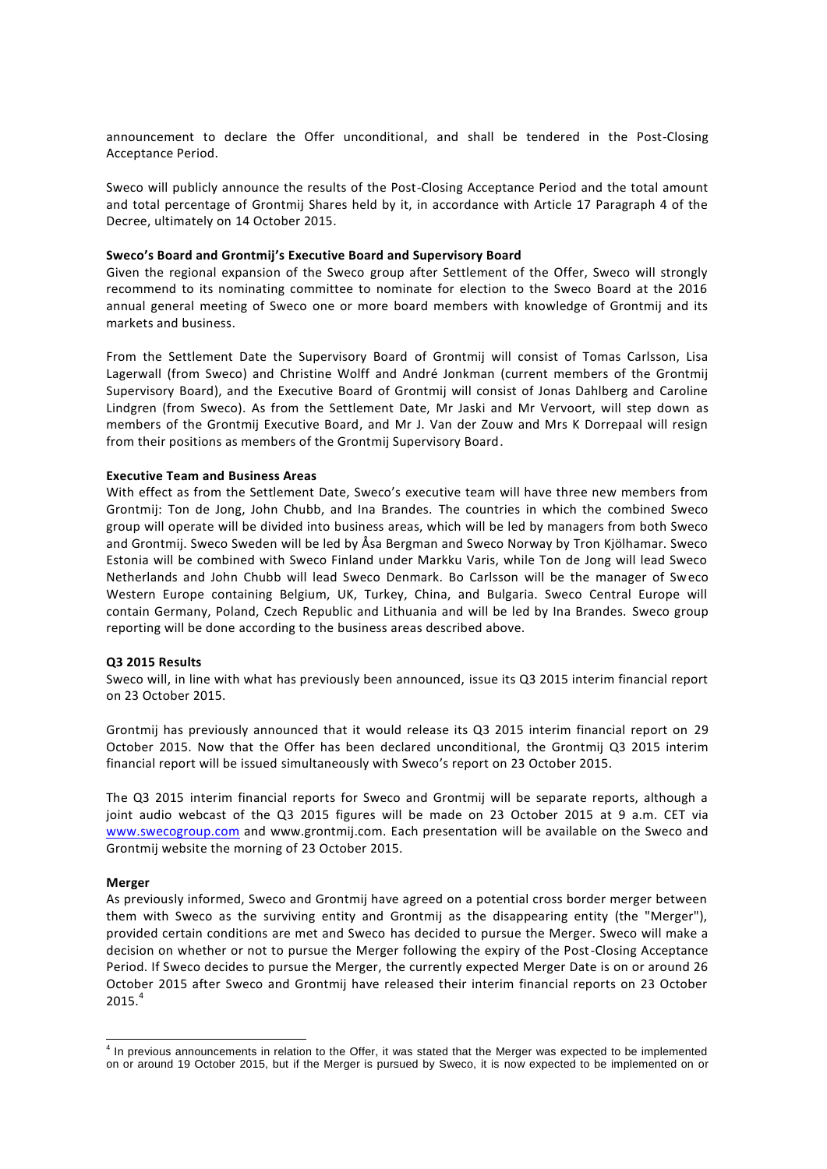announcement to declare the Offer unconditional, and shall be tendered in the Post-Closing Acceptance Period.

Sweco will publicly announce the results of the Post-Closing Acceptance Period and the total amount and total percentage of Grontmij Shares held by it, in accordance with Article 17 Paragraph 4 of the Decree, ultimately on 14 October 2015.

#### **Sweco's Board and Grontmij's Executive Board and Supervisory Board**

Given the regional expansion of the Sweco group after Settlement of the Offer, Sweco will strongly recommend to its nominating committee to nominate for election to the Sweco Board at the 2016 annual general meeting of Sweco one or more board members with knowledge of Grontmij and its markets and business.

From the Settlement Date the Supervisory Board of Grontmij will consist of Tomas Carlsson, Lisa Lagerwall (from Sweco) and Christine Wolff and André Jonkman (current members of the Grontmij Supervisory Board), and the Executive Board of Grontmij will consist of Jonas Dahlberg and Caroline Lindgren (from Sweco). As from the Settlement Date, Mr Jaski and Mr Vervoort, will step down as members of the Grontmij Executive Board, and Mr J. Van der Zouw and Mrs K Dorrepaal will resign from their positions as members of the Grontmij Supervisory Board.

#### **Executive Team and Business Areas**

With effect as from the Settlement Date, Sweco's executive team will have three new members from Grontmij: Ton de Jong, John Chubb, and Ina Brandes. The countries in which the combined Sweco group will operate will be divided into business areas, which will be led by managers from both Sweco and Grontmij. Sweco Sweden will be led by Åsa Bergman and Sweco Norway by Tron Kjölhamar. Sweco Estonia will be combined with Sweco Finland under Markku Varis, while Ton de Jong will lead Sweco Netherlands and John Chubb will lead Sweco Denmark. Bo Carlsson will be the manager of Sweco Western Europe containing Belgium, UK, Turkey, China, and Bulgaria. Sweco Central Europe will contain Germany, Poland, Czech Republic and Lithuania and will be led by Ina Brandes. Sweco group reporting will be done according to the business areas described above.

## **Q3 2015 Results**

Sweco will, in line with what has previously been announced, issue its Q3 2015 interim financial report on 23 October 2015.

Grontmij has previously announced that it would release its Q3 2015 interim financial report on 29 October 2015. Now that the Offer has been declared unconditional, the Grontmij Q3 2015 interim financial report will be issued simultaneously with Sweco's report on 23 October 2015.

The Q3 2015 interim financial reports for Sweco and Grontmij will be separate reports, although a joint audio webcast of the Q3 2015 figures will be made on 23 October 2015 at 9 a.m. CET via [www.swecogroup.com](http://www.swecogroup.com/) and www.grontmij.com. Each presentation will be available on the Sweco and Grontmij website the morning of 23 October 2015.

#### **Merger**

As previously informed, Sweco and Grontmij have agreed on a potential cross border merger between them with Sweco as the surviving entity and Grontmij as the disappearing entity (the "Merger"), provided certain conditions are met and Sweco has decided to pursue the Merger. Sweco will make a decision on whether or not to pursue the Merger following the expiry of the Post-Closing Acceptance Period. If Sweco decides to pursue the Merger, the currently expected Merger Date is on or around 26 October 2015 after Sweco and Grontmij have released their interim financial reports on 23 October  $2015.<sup>4</sup>$ 

 4 In previous announcements in relation to the Offer, it was stated that the Merger was expected to be implemented on or around 19 October 2015, but if the Merger is pursued by Sweco, it is now expected to be implemented on or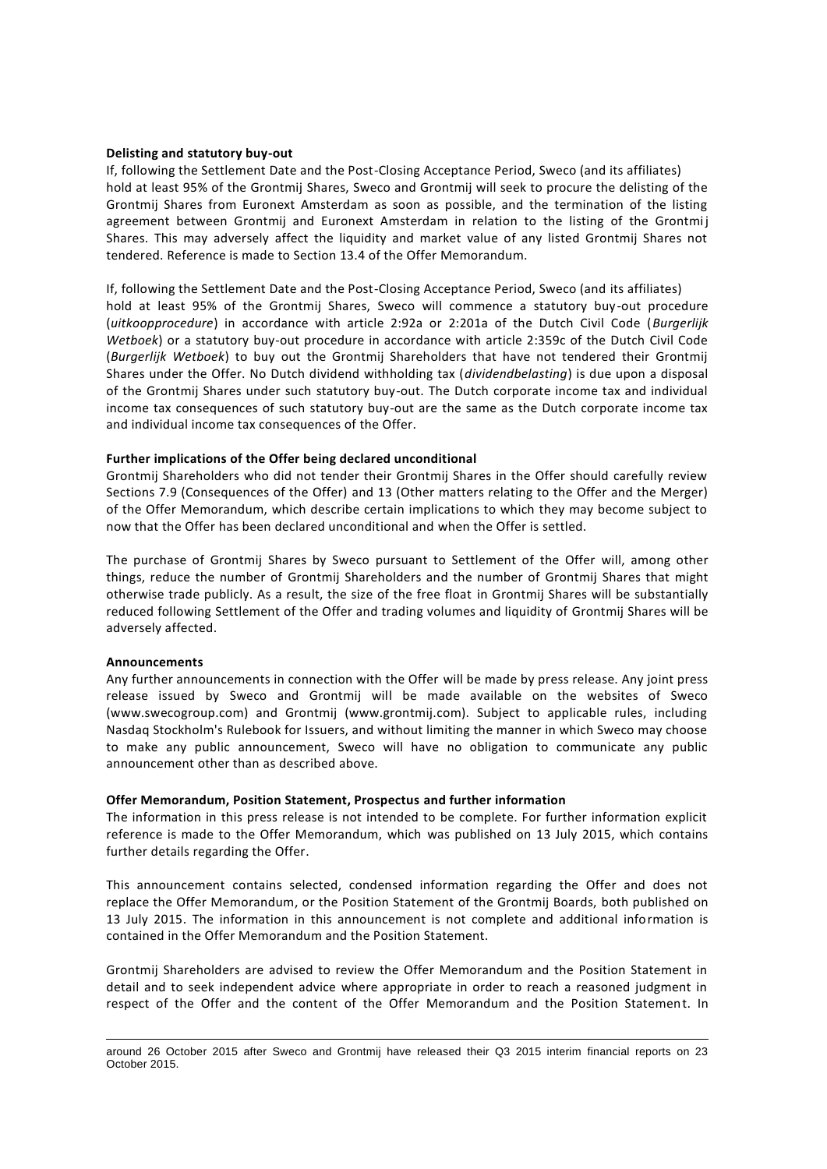#### **Delisting and statutory buy-out**

If, following the Settlement Date and the Post-Closing Acceptance Period, Sweco (and its affiliates) hold at least 95% of the Grontmij Shares, Sweco and Grontmij will seek to procure the delisting of the Grontmij Shares from Euronext Amsterdam as soon as possible, and the termination of the listing agreement between Grontmij and Euronext Amsterdam in relation to the listing of the Grontmij Shares. This may adversely affect the liquidity and market value of any listed Grontmij Shares not tendered. Reference is made to Section 13.4 of the Offer Memorandum.

If, following the Settlement Date and the Post-Closing Acceptance Period, Sweco (and its affiliates) hold at least 95% of the Grontmij Shares, Sweco will commence a statutory buy-out procedure (*uitkoopprocedure*) in accordance with article 2:92a or 2:201a of the Dutch Civil Code (*Burgerlijk Wetboek*) or a statutory buy-out procedure in accordance with article 2:359c of the Dutch Civil Code (*Burgerlijk Wetboek*) to buy out the Grontmij Shareholders that have not tendered their Grontmij Shares under the Offer. No Dutch dividend withholding tax (*dividendbelasting*) is due upon a disposal of the Grontmij Shares under such statutory buy-out. The Dutch corporate income tax and individual income tax consequences of such statutory buy-out are the same as the Dutch corporate income tax and individual income tax consequences of the Offer.

#### **Further implications of the Offer being declared unconditional**

Grontmij Shareholders who did not tender their Grontmij Shares in the Offer should carefully review Sections 7.9 (Consequences of the Offer) and 13 (Other matters relating to the Offer and the Merger) of the Offer Memorandum, which describe certain implications to which they may become subject to now that the Offer has been declared unconditional and when the Offer is settled.

The purchase of Grontmij Shares by Sweco pursuant to Settlement of the Offer will, among other things, reduce the number of Grontmij Shareholders and the number of Grontmij Shares that might otherwise trade publicly. As a result, the size of the free float in Grontmij Shares will be substantially reduced following Settlement of the Offer and trading volumes and liquidity of Grontmij Shares will be adversely affected.

## **Announcements**

Any further announcements in connection with the Offer will be made by press release. Any joint press release issued by Sweco and Grontmij will be made available on the websites of Sweco (www.swecogroup.com) and Grontmij (www.grontmij.com). Subject to applicable rules, including Nasdaq Stockholm's Rulebook for Issuers, and without limiting the manner in which Sweco may choose to make any public announcement, Sweco will have no obligation to communicate any public announcement other than as described above.

#### **Offer Memorandum, Position Statement, Prospectus and further information**

The information in this press release is not intended to be complete. For further information explicit reference is made to the Offer Memorandum, which was published on 13 July 2015, which contains further details regarding the Offer.

This announcement contains selected, condensed information regarding the Offer and does not replace the Offer Memorandum, or the Position Statement of the Grontmij Boards, both published on 13 July 2015. The information in this announcement is not complete and additional information is contained in the Offer Memorandum and the Position Statement.

Grontmij Shareholders are advised to review the Offer Memorandum and the Position Statement in detail and to seek independent advice where appropriate in order to reach a reasoned judgment in respect of the Offer and the content of the Offer Memorandum and the Position Statement. In

 $\overline{a}$ around 26 October 2015 after Sweco and Grontmij have released their Q3 2015 interim financial reports on 23 October 2015.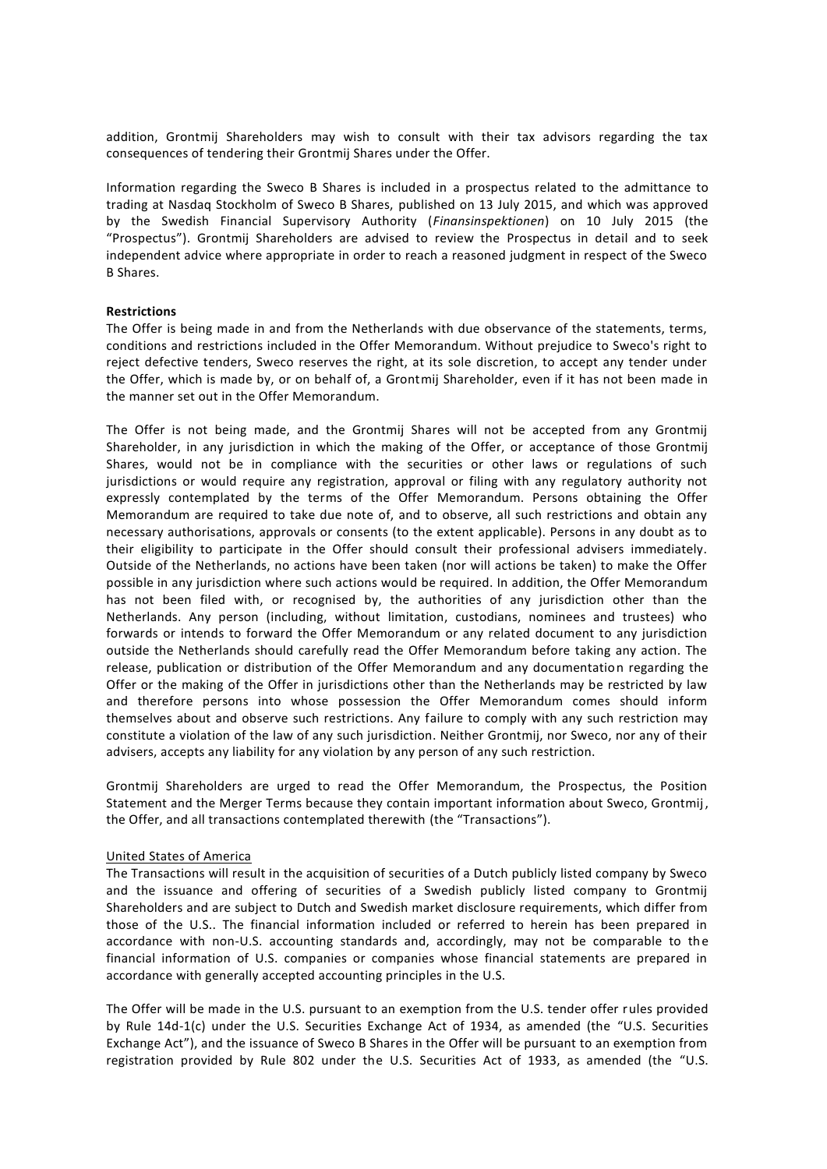addition, Grontmij Shareholders may wish to consult with their tax advisors regarding the tax consequences of tendering their Grontmij Shares under the Offer.

Information regarding the Sweco B Shares is included in a prospectus related to the admittance to trading at Nasdaq Stockholm of Sweco B Shares, published on 13 July 2015, and which was approved by the Swedish Financial Supervisory Authority (*Finansinspektionen*) on 10 July 2015 (the "Prospectus"). Grontmij Shareholders are advised to review the Prospectus in detail and to seek independent advice where appropriate in order to reach a reasoned judgment in respect of the Sweco B Shares.

## **Restrictions**

The Offer is being made in and from the Netherlands with due observance of the statements, terms, conditions and restrictions included in the Offer Memorandum. Without prejudice to Sweco's right to reject defective tenders, Sweco reserves the right, at its sole discretion, to accept any tender under the Offer, which is made by, or on behalf of, a Grontmij Shareholder, even if it has not been made in the manner set out in the Offer Memorandum.

The Offer is not being made, and the Grontmij Shares will not be accepted from any Grontmij Shareholder, in any jurisdiction in which the making of the Offer, or acceptance of those Grontmij Shares, would not be in compliance with the securities or other laws or regulations of such jurisdictions or would require any registration, approval or filing with any regulatory authority not expressly contemplated by the terms of the Offer Memorandum. Persons obtaining the Offer Memorandum are required to take due note of, and to observe, all such restrictions and obtain any necessary authorisations, approvals or consents (to the extent applicable). Persons in any doubt as to their eligibility to participate in the Offer should consult their professional advisers immediately. Outside of the Netherlands, no actions have been taken (nor will actions be taken) to make the Offer possible in any jurisdiction where such actions would be required. In addition, the Offer Memorandum has not been filed with, or recognised by, the authorities of any jurisdiction other than the Netherlands. Any person (including, without limitation, custodians, nominees and trustees) who forwards or intends to forward the Offer Memorandum or any related document to any jurisdiction outside the Netherlands should carefully read the Offer Memorandum before taking any action. The release, publication or distribution of the Offer Memorandum and any documentation regarding the Offer or the making of the Offer in jurisdictions other than the Netherlands may be restricted by law and therefore persons into whose possession the Offer Memorandum comes should inform themselves about and observe such restrictions. Any failure to comply with any such restriction may constitute a violation of the law of any such jurisdiction. Neither Grontmij, nor Sweco, nor any of their advisers, accepts any liability for any violation by any person of any such restriction.

Grontmij Shareholders are urged to read the Offer Memorandum, the Prospectus, the Position Statement and the Merger Terms because they contain important information about Sweco, Grontmij , the Offer, and all transactions contemplated therewith (the "Transactions").

## United States of America

The Transactions will result in the acquisition of securities of a Dutch publicly listed company by Sweco and the issuance and offering of securities of a Swedish publicly listed company to Grontmij Shareholders and are subject to Dutch and Swedish market disclosure requirements, which differ from those of the U.S.. The financial information included or referred to herein has been prepared in accordance with non-U.S. accounting standards and, accordingly, may not be comparable to the financial information of U.S. companies or companies whose financial statements are prepared in accordance with generally accepted accounting principles in the U.S.

The Offer will be made in the U.S. pursuant to an exemption from the U.S. tender offer rules provided by Rule 14d-1(c) under the U.S. Securities Exchange Act of 1934, as amended (the "U.S. Securities Exchange Act"), and the issuance of Sweco B Shares in the Offer will be pursuant to an exemption from registration provided by Rule 802 under the U.S. Securities Act of 1933, as amended (the "U.S.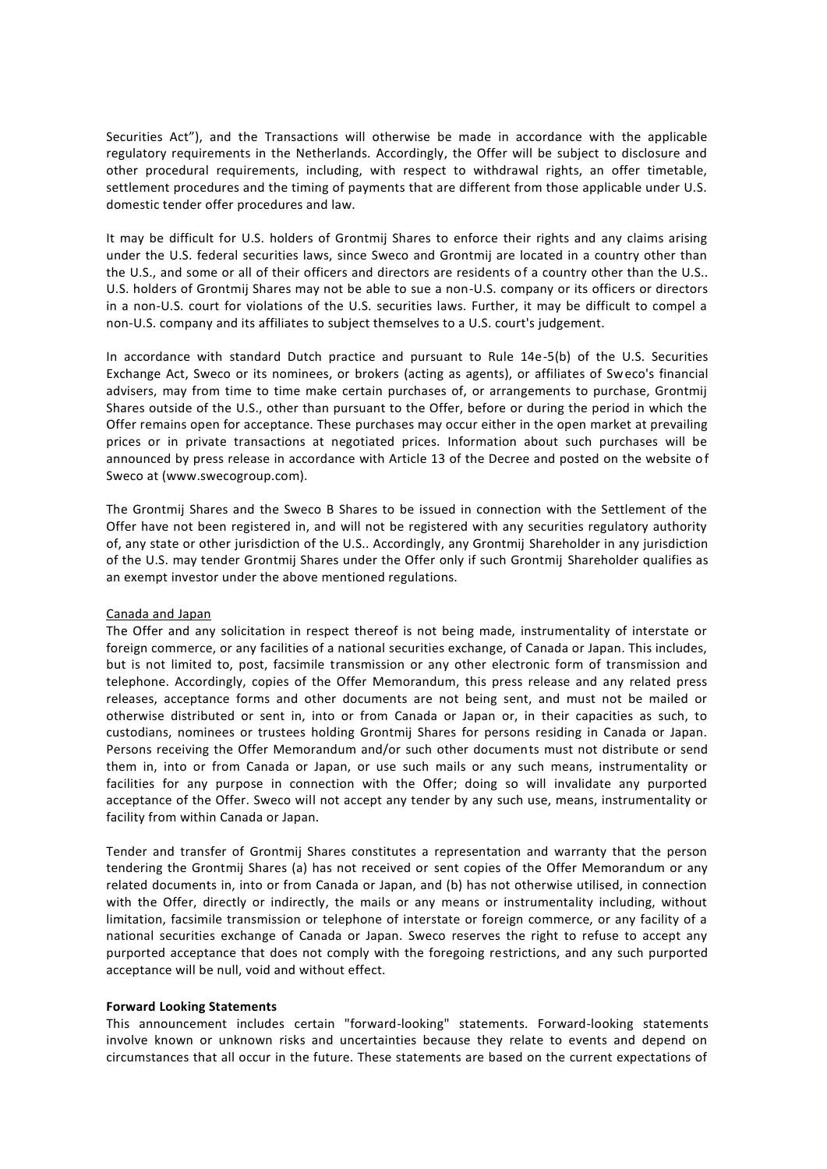Securities Act"), and the Transactions will otherwise be made in accordance with the applicable regulatory requirements in the Netherlands. Accordingly, the Offer will be subject to disclosure and other procedural requirements, including, with respect to withdrawal rights, an offer timetable, settlement procedures and the timing of payments that are different from those applicable under U.S. domestic tender offer procedures and law.

It may be difficult for U.S. holders of Grontmij Shares to enforce their rights and any claims arising under the U.S. federal securities laws, since Sweco and Grontmij are located in a country other than the U.S., and some or all of their officers and directors are residents of a country other than the U.S.. U.S. holders of Grontmij Shares may not be able to sue a non-U.S. company or its officers or directors in a non-U.S. court for violations of the U.S. securities laws. Further, it may be difficult to compel a non-U.S. company and its affiliates to subject themselves to a U.S. court's judgement.

In accordance with standard Dutch practice and pursuant to Rule 14e-5(b) of the U.S. Securities Exchange Act, Sweco or its nominees, or brokers (acting as agents), or affiliates of Sweco's financial advisers, may from time to time make certain purchases of, or arrangements to purchase, Grontmij Shares outside of the U.S., other than pursuant to the Offer, before or during the period in which the Offer remains open for acceptance. These purchases may occur either in the open market at prevailing prices or in private transactions at negotiated prices. Information about such purchases will be announced by press release in accordance with Article 13 of the Decree and posted on the website of Sweco at (www.swecogroup.com).

The Grontmij Shares and the Sweco B Shares to be issued in connection with the Settlement of the Offer have not been registered in, and will not be registered with any securities regulatory authority of, any state or other jurisdiction of the U.S.. Accordingly, any Grontmij Shareholder in any jurisdiction of the U.S. may tender Grontmij Shares under the Offer only if such Grontmij Shareholder qualifies as an exempt investor under the above mentioned regulations.

#### Canada and Japan

The Offer and any solicitation in respect thereof is not being made, instrumentality of interstate or foreign commerce, or any facilities of a national securities exchange, of Canada or Japan. This includes, but is not limited to, post, facsimile transmission or any other electronic form of transmission and telephone. Accordingly, copies of the Offer Memorandum, this press release and any related press releases, acceptance forms and other documents are not being sent, and must not be mailed or otherwise distributed or sent in, into or from Canada or Japan or, in their capacities as such, to custodians, nominees or trustees holding Grontmij Shares for persons residing in Canada or Japan. Persons receiving the Offer Memorandum and/or such other documents must not distribute or send them in, into or from Canada or Japan, or use such mails or any such means, instrumentality or facilities for any purpose in connection with the Offer; doing so will invalidate any purported acceptance of the Offer. Sweco will not accept any tender by any such use, means, instrumentality or facility from within Canada or Japan.

Tender and transfer of Grontmij Shares constitutes a representation and warranty that the person tendering the Grontmij Shares (a) has not received or sent copies of the Offer Memorandum or any related documents in, into or from Canada or Japan, and (b) has not otherwise utilised, in connection with the Offer, directly or indirectly, the mails or any means or instrumentality including, without limitation, facsimile transmission or telephone of interstate or foreign commerce, or any facility of a national securities exchange of Canada or Japan. Sweco reserves the right to refuse to accept any purported acceptance that does not comply with the foregoing restrictions, and any such purported acceptance will be null, void and without effect.

#### **Forward Looking Statements**

This announcement includes certain "forward-looking" statements. Forward-looking statements involve known or unknown risks and uncertainties because they relate to events and depend on circumstances that all occur in the future. These statements are based on the current expectations of